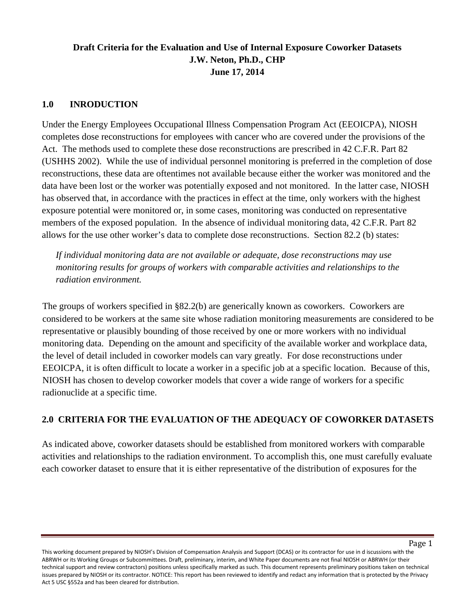# **Draft Criteria for the Evaluation and Use of Internal Exposure Coworker Datasets J.W. Neton, Ph.D., CHP June 17, 2014**

#### **1.0 INRODUCTION**

Under the Energy Employees Occupational Illness Compensation Program Act (EEOICPA), NIOSH completes dose reconstructions for employees with cancer who are covered under the provisions of the Act. The methods used to complete these dose reconstructions are prescribed in 42 C.F.R. Part 82 (USHHS 2002). While the use of individual personnel monitoring is preferred in the completion of dose reconstructions, these data are oftentimes not available because either the worker was monitored and the data have been lost or the worker was potentially exposed and not monitored. In the latter case, NIOSH has observed that, in accordance with the practices in effect at the time, only workers with the highest exposure potential were monitored or, in some cases, monitoring was conducted on representative members of the exposed population. In the absence of individual monitoring data, 42 C.F.R. Part 82 allows for the use other worker's data to complete dose reconstructions. Section 82.2 (b) states:

*If individual monitoring data are not available or adequate, dose reconstructions may use monitoring results for groups of workers with comparable activities and relationships to the radiation environment.*

The groups of workers specified in §82.2(b) are generically known as coworkers. Coworkers are considered to be workers at the same site whose radiation monitoring measurements are considered to be representative or plausibly bounding of those received by one or more workers with no individual monitoring data. Depending on the amount and specificity of the available worker and workplace data, the level of detail included in coworker models can vary greatly. For dose reconstructions under EEOICPA, it is often difficult to locate a worker in a specific job at a specific location. Because of this, NIOSH has chosen to develop coworker models that cover a wide range of workers for a specific radionuclide at a specific time.

## **2.0 CRITERIA FOR THE EVALUATION OF THE ADEQUACY OF COWORKER DATASETS**

As indicated above, coworker datasets should be established from monitored workers with comparable activities and relationships to the radiation environment. To accomplish this, one must carefully evaluate each coworker dataset to ensure that it is either representative of the distribution of exposures for the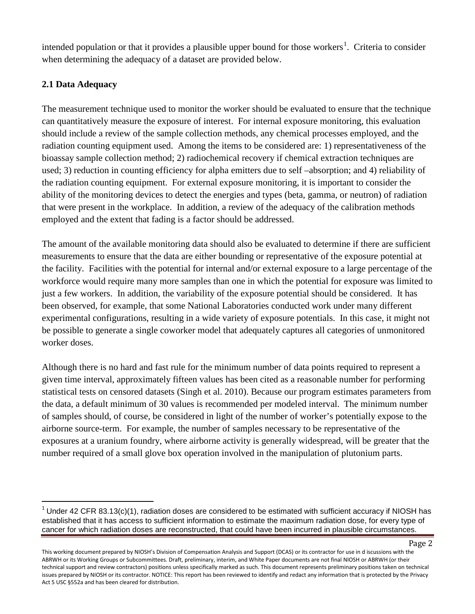intended population or that it provides a plausible upper bound for those workers<sup>[1](#page-1-0)</sup>. Criteria to consider when determining the adequacy of a dataset are provided below.

## **2.1 Data Adequacy**

The measurement technique used to monitor the worker should be evaluated to ensure that the technique can quantitatively measure the exposure of interest. For internal exposure monitoring, this evaluation should include a review of the sample collection methods, any chemical processes employed, and the radiation counting equipment used. Among the items to be considered are: 1) representativeness of the bioassay sample collection method; 2) radiochemical recovery if chemical extraction techniques are used; 3) reduction in counting efficiency for alpha emitters due to self –absorption; and 4) reliability of the radiation counting equipment. For external exposure monitoring, it is important to consider the ability of the monitoring devices to detect the energies and types (beta, gamma, or neutron) of radiation that were present in the workplace. In addition, a review of the adequacy of the calibration methods employed and the extent that fading is a factor should be addressed.

The amount of the available monitoring data should also be evaluated to determine if there are sufficient measurements to ensure that the data are either bounding or representative of the exposure potential at the facility. Facilities with the potential for internal and/or external exposure to a large percentage of the workforce would require many more samples than one in which the potential for exposure was limited to just a few workers. In addition, the variability of the exposure potential should be considered. It has been observed, for example, that some National Laboratories conducted work under many different experimental configurations, resulting in a wide variety of exposure potentials. In this case, it might not be possible to generate a single coworker model that adequately captures all categories of unmonitored worker doses.

Although there is no hard and fast rule for the minimum number of data points required to represent a given time interval, approximately fifteen values has been cited as a reasonable number for performing statistical tests on censored datasets (Singh et al. 2010). Because our program estimates parameters from the data, a default minimum of 30 values is recommended per modeled interval. The minimum number of samples should, of course, be considered in light of the number of worker's potentially expose to the airborne source-term. For example, the number of samples necessary to be representative of the exposures at a uranium foundry, where airborne activity is generally widespread, will be greater that the number required of a small glove box operation involved in the manipulation of plutonium parts.

Page 2

<span id="page-1-0"></span><sup>&</sup>lt;sup>1</sup> Under 42 CFR 83.13(c)(1), radiation doses are considered to be estimated with sufficient accuracy if NIOSH has established that it has access to sufficient information to estimate the maximum radiation dose, for every type of cancer for which radiation doses are reconstructed, that could have been incurred in plausible circumstances.

This working document prepared by NIOSH's Division of Compensation Analysis and Support (DCAS) or its contractor for use in d iscussions with the ABRWH or its Working Groups or Subcommittees. Draft, preliminary, interim, and White Paper documents are not final NIOSH or ABRWH (or their technical support and review contractors) positions unless specifically marked as such. This document represents preliminary positions taken on technical issues prepared by NIOSH or its contractor. NOTICE: This report has been reviewed to identify and redact any information that is protected by the Privacy Act 5 USC §552a and has been cleared for distribution.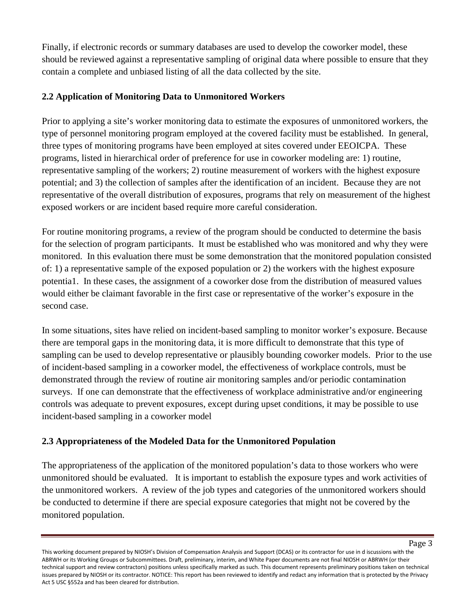Finally, if electronic records or summary databases are used to develop the coworker model, these should be reviewed against a representative sampling of original data where possible to ensure that they contain a complete and unbiased listing of all the data collected by the site.

## **2.2 Application of Monitoring Data to Unmonitored Workers**

Prior to applying a site's worker monitoring data to estimate the exposures of unmonitored workers, the type of personnel monitoring program employed at the covered facility must be established. In general, three types of monitoring programs have been employed at sites covered under EEOICPA. These programs, listed in hierarchical order of preference for use in coworker modeling are: 1) routine, representative sampling of the workers; 2) routine measurement of workers with the highest exposure potential; and 3) the collection of samples after the identification of an incident. Because they are not representative of the overall distribution of exposures, programs that rely on measurement of the highest exposed workers or are incident based require more careful consideration.

For routine monitoring programs, a review of the program should be conducted to determine the basis for the selection of program participants. It must be established who was monitored and why they were monitored. In this evaluation there must be some demonstration that the monitored population consisted of: 1) a representative sample of the exposed population or 2) the workers with the highest exposure potentia1. In these cases, the assignment of a coworker dose from the distribution of measured values would either be claimant favorable in the first case or representative of the worker's exposure in the second case.

In some situations, sites have relied on incident-based sampling to monitor worker's exposure. Because there are temporal gaps in the monitoring data, it is more difficult to demonstrate that this type of sampling can be used to develop representative or plausibly bounding coworker models. Prior to the use of incident-based sampling in a coworker model, the effectiveness of workplace controls, must be demonstrated through the review of routine air monitoring samples and/or periodic contamination surveys. If one can demonstrate that the effectiveness of workplace administrative and/or engineering controls was adequate to prevent exposures, except during upset conditions, it may be possible to use incident-based sampling in a coworker model

## **2.3 Appropriateness of the Modeled Data for the Unmonitored Population**

The appropriateness of the application of the monitored population's data to those workers who were unmonitored should be evaluated. It is important to establish the exposure types and work activities of the unmonitored workers. A review of the job types and categories of the unmonitored workers should be conducted to determine if there are special exposure categories that might not be covered by the monitored population.

This working document prepared by NIOSH's Division of Compensation Analysis and Support (DCAS) or its contractor for use in d iscussions with the ABRWH or its Working Groups or Subcommittees. Draft, preliminary, interim, and White Paper documents are not final NIOSH or ABRWH (or their technical support and review contractors) positions unless specifically marked as such. This document represents preliminary positions taken on technical issues prepared by NIOSH or its contractor. NOTICE: This report has been reviewed to identify and redact any information that is protected by the Privacy Act 5 USC §552a and has been cleared for distribution.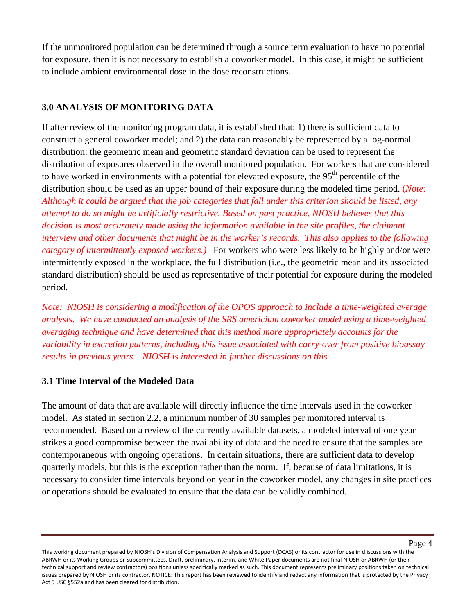If the unmonitored population can be determined through a source term evaluation to have no potential for exposure, then it is not necessary to establish a coworker model. In this case, it might be sufficient to include ambient environmental dose in the dose reconstructions.

#### **3.0 ANALYSIS OF MONITORING DATA**

If after review of the monitoring program data, it is established that: 1) there is sufficient data to construct a general coworker model; and 2) the data can reasonably be represented by a log-normal distribution: the geometric mean and geometric standard deviation can be used to represent the distribution of exposures observed in the overall monitored population. For workers that are considered to have worked in environments with a potential for elevated exposure, the 95<sup>th</sup> percentile of the distribution should be used as an upper bound of their exposure during the modeled time period. (*Note: Although it could be argued that the job categories that fall under this criterion should be listed, any attempt to do so might be artificially restrictive. Based on past practice, NIOSH believes that this decision is most accurately made using the information available in the site profiles, the claimant interview and other documents that might be in the worker's records. This also applies to the following category of intermittently exposed workers.)* For workers who were less likely to be highly and/or were intermittently exposed in the workplace, the full distribution (i.e., the geometric mean and its associated standard distribution) should be used as representative of their potential for exposure during the modeled period.

*Note: NIOSH is considering a modification of the OPOS approach to include a time-weighted average analysis. We have conducted an analysis of the SRS americium coworker model using a time-weighted averaging technique and have determined that this method more appropriately accounts for the variability in excretion patterns, including this issue associated with carry-over from positive bioassay results in previous years. NIOSH is interested in further discussions on this.*

#### **3.1 Time Interval of the Modeled Data**

The amount of data that are available will directly influence the time intervals used in the coworker model. As stated in section 2.2, a minimum number of 30 samples per monitored interval is recommended. Based on a review of the currently available datasets, a modeled interval of one year strikes a good compromise between the availability of data and the need to ensure that the samples are contemporaneous with ongoing operations. In certain situations, there are sufficient data to develop quarterly models, but this is the exception rather than the norm. If, because of data limitations, it is necessary to consider time intervals beyond on year in the coworker model, any changes in site practices or operations should be evaluated to ensure that the data can be validly combined.

This working document prepared by NIOSH's Division of Compensation Analysis and Support (DCAS) or its contractor for use in d iscussions with the ABRWH or its Working Groups or Subcommittees. Draft, preliminary, interim, and White Paper documents are not final NIOSH or ABRWH (or their technical support and review contractors) positions unless specifically marked as such. This document represents preliminary positions taken on technical issues prepared by NIOSH or its contractor. NOTICE: This report has been reviewed to identify and redact any information that is protected by the Privacy Act 5 USC §552a and has been cleared for distribution.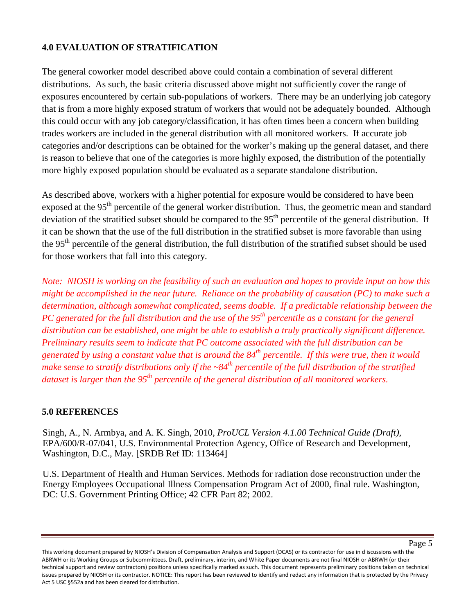### **4.0 EVALUATION OF STRATIFICATION**

The general coworker model described above could contain a combination of several different distributions. As such, the basic criteria discussed above might not sufficiently cover the range of exposures encountered by certain sub-populations of workers. There may be an underlying job category that is from a more highly exposed stratum of workers that would not be adequately bounded. Although this could occur with any job category/classification, it has often times been a concern when building trades workers are included in the general distribution with all monitored workers. If accurate job categories and/or descriptions can be obtained for the worker's making up the general dataset, and there is reason to believe that one of the categories is more highly exposed, the distribution of the potentially more highly exposed population should be evaluated as a separate standalone distribution.

As described above, workers with a higher potential for exposure would be considered to have been exposed at the 95<sup>th</sup> percentile of the general worker distribution. Thus, the geometric mean and standard deviation of the stratified subset should be compared to the  $95<sup>th</sup>$  percentile of the general distribution. If it can be shown that the use of the full distribution in the stratified subset is more favorable than using the 95th percentile of the general distribution, the full distribution of the stratified subset should be used for those workers that fall into this category.

*Note: NIOSH is working on the feasibility of such an evaluation and hopes to provide input on how this might be accomplished in the near future. Reliance on the probability of causation (PC) to make such a determination, although somewhat complicated, seems doable. If a predictable relationship between the PC generated for the full distribution and the use of the 95th percentile as a constant for the general distribution can be established, one might be able to establish a truly practically significant difference. Preliminary results seem to indicate that PC outcome associated with the full distribution can be generated by using a constant value that is around the 84th percentile. If this were true, then it would make sense to stratify distributions only if the ~84<sup>th</sup> percentile of the full distribution of the stratified dataset is larger than the 95th percentile of the general distribution of all monitored workers.* 

### **5.0 REFERENCES**

Singh, A., N. Armbya, and A. K. Singh, 2010, *ProUCL Version 4.1.00 Technical Guide (Draft)*, EPA/600/R-07/041, U.S. Environmental Protection Agency, Office of Research and Development, Washington, D.C., May. [SRDB Ref ID: 113464]

U.S. Department of Health and Human Services. Methods for radiation dose reconstruction under the Energy Employees Occupational Illness Compensation Program Act of 2000, final rule. Washington, DC: U.S. Government Printing Office; 42 CFR Part 82; 2002.

This working document prepared by NIOSH's Division of Compensation Analysis and Support (DCAS) or its contractor for use in d iscussions with the ABRWH or its Working Groups or Subcommittees. Draft, preliminary, interim, and White Paper documents are not final NIOSH or ABRWH (or their technical support and review contractors) positions unless specifically marked as such. This document represents preliminary positions taken on technical issues prepared by NIOSH or its contractor. NOTICE: This report has been reviewed to identify and redact any information that is protected by the Privacy Act 5 USC §552a and has been cleared for distribution.